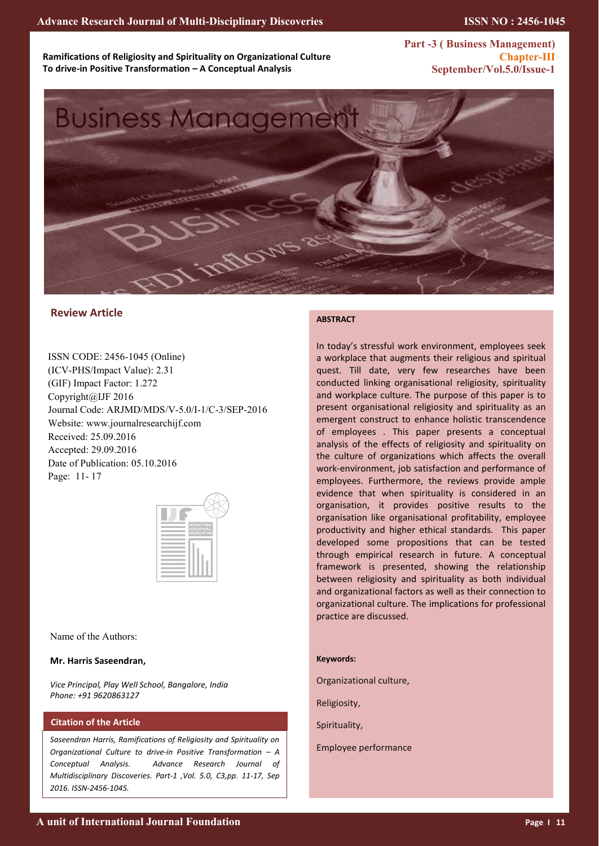**Ramifications of Religiosity and Spirituality on Organizational Culture To drive-in Positive Transformation – A Conceptual Analysis**

**Part -3 ( Business Management) Chapter-III September/Vol.5.0/Issue-1** 



# **Review Article**

ISSN CODE: 2456-1045 (Online) (ICV-PHS/Impact Value): 2.31 (GIF) Impact Factor: 1.272 Copyright@IJF 2016 Journal Code: ARJMD/MDS/V-5.0/I-1/C-3/SEP-2016 Website: www.journalresearchijf.com Received: 25.09.2016 Accepted: 29.09.2016 Date of Publication: 05.10.2016 Page: 11- 17



Name of the Authors:

## **Mr. Harris Saseendran,**

*Vice Principal, Play Well School, Bangalore, India Phone: +91 9620863127*

## **Citation of the Article**

*Saseendran Harris, Ramifications of Religiosity and Spirituality on Organizational Culture to drive-in Positive Transformation – A Conceptual Analysis. Advance Research Journal of Multidisciplinary Discoveries. Part-1 ,Vol. 5.0, C3,pp. 11-17, Sep 2016. ISSN-2456-1045.*

### **ABSTRACT**

In today's stressful work environment, employees seek a workplace that augments their religious and spiritual quest. Till date, very few researches have been conducted linking organisational religiosity, spirituality and workplace culture. The purpose of this paper is to present organisational religiosity and spirituality as an emergent construct to enhance holistic transcendence of employees . This paper presents a conceptual analysis of the effects of religiosity and spirituality on the culture of organizations which affects the overall work-environment, job satisfaction and performance of employees. Furthermore, the reviews provide ample evidence that when spirituality is considered in an organisation, it provides positive results to the organisation like organisational profitability, employee productivity and higher ethical standards. This paper developed some propositions that can be tested through empirical research in future. A conceptual framework is presented, showing the relationship between religiosity and spirituality as both individual and organizational factors as well as their connection to organizational culture. The implications for professional practice are discussed.

#### **Keywords:**

Organizational culture,

Religiosity,

Spirituality,

Employee performance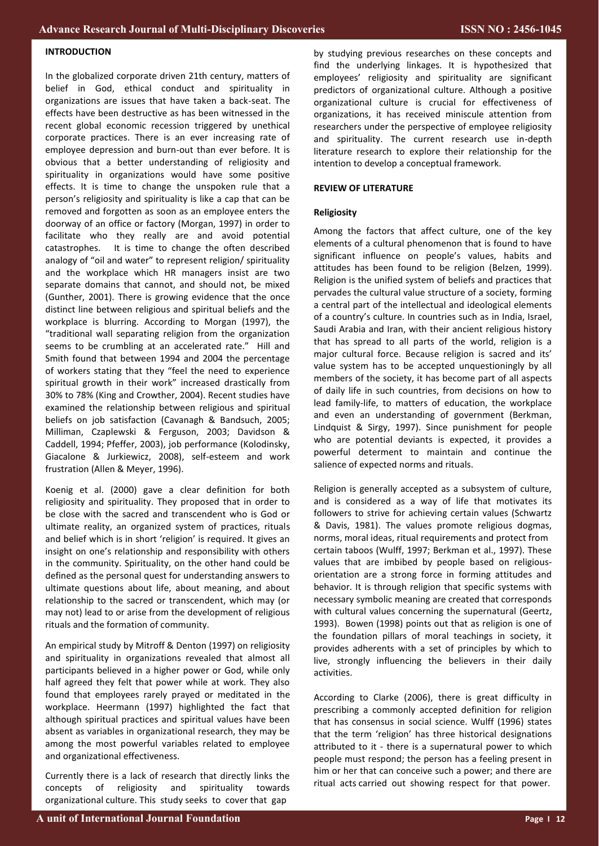## **INTRODUCTION**

In the globalized corporate driven 21th century, matters of belief in God, ethical conduct and spirituality in organizations are issues that have taken a back-seat. The effects have been destructive as has been witnessed in the recent global economic recession triggered by unethical corporate practices. There is an ever increasing rate of employee depression and burn-out than ever before. It is obvious that a better understanding of religiosity and spirituality in organizations would have some positive effects. It is time to change the unspoken rule that a person's religiosity and spirituality is like a cap that can be removed and forgotten as soon as an employee enters the doorway of an office or factory (Morgan, 1997) in order to facilitate who they really are and avoid potential catastrophes. It is time to change the often described analogy of "oil and water" to represent religion/ spirituality and the workplace which HR managers insist are two separate domains that cannot, and should not, be mixed (Gunther, 2001). There is growing evidence that the once distinct line between religious and spiritual beliefs and the workplace is blurring. According to Morgan (1997), the "traditional wall separating religion from the organization seems to be crumbling at an accelerated rate." Hill and Smith found that between 1994 and 2004 the percentage of workers stating that they "feel the need to experience spiritual growth in their work" increased drastically from 30% to 78% (King and Crowther, 2004). Recent studies have examined the relationship between religious and spiritual beliefs on job satisfaction (Cavanagh & Bandsuch, 2005; Milliman, Czaplewski & Ferguson, 2003; Davidson & Caddell, 1994; Pfeffer, 2003), job performance (Kolodinsky, Giacalone & Jurkiewicz, 2008), self-esteem and work frustration (Allen & Meyer, 1996).

Koenig et al. (2000) gave a clear definition for both religiosity and spirituality. They proposed that in order to be close with the sacred and transcendent who is God or ultimate reality, an organized system of practices, rituals and belief which is in short 'religion' is required. It gives an insight on one's relationship and responsibility with others in the community. Spirituality, on the other hand could be defined as the personal quest for understanding answers to ultimate questions about life, about meaning, and about relationship to the sacred or transcendent, which may (or may not) lead to or arise from the development of religious rituals and the formation of community.

An empirical study by Mitroff & Denton (1997) on religiosity and spirituality in organizations revealed that almost all participants believed in a higher power or God, while only half agreed they felt that power while at work. They also found that employees rarely prayed or meditated in the workplace. Heermann (1997) highlighted the fact that although spiritual practices and spiritual values have been absent as variables in organizational research, they may be among the most powerful variables related to employee and organizational effectiveness.

Currently there is a lack of research that directly links the concepts of religiosity and spirituality towards organizational culture. This study seeks to cover that gap

by studying previous researches on these concepts and find the underlying linkages. It is hypothesized that employees' religiosity and spirituality are significant predictors of organizational culture. Although a positive organizational culture is crucial for effectiveness of organizations, it has received miniscule attention from researchers under the perspective of employee religiosity and spirituality. The current research use in-depth literature research to explore their relationship for the intention to develop a conceptual framework.

#### **REVIEW OF LITERATURE**

### **Religiosity**

Among the factors that affect culture, one of the key elements of a cultural phenomenon that is found to have significant influence on people's values, habits and attitudes has been found to be religion (Belzen, 1999). Religion is the unified system of beliefs and practices that pervades the cultural value structure of a society, forming a central part of the intellectual and ideological elements of a country's culture. In countries such as in India, Israel, Saudi Arabia and Iran, with their ancient religious history that has spread to all parts of the world, religion is a major cultural force. Because religion is sacred and its' value system has to be accepted unquestioningly by all members of the society, it has become part of all aspects of daily life in such countries, from decisions on how to lead family-life, to matters of education, the workplace and even an understanding of government (Berkman, Lindquist & Sirgy, 1997). Since punishment for people who are potential deviants is expected, it provides a powerful determent to maintain and continue the salience of expected norms and rituals.

Religion is generally accepted as a subsystem of culture, and is considered as a way of life that motivates its followers to strive for achieving certain values (Schwartz & Davis, 1981). The values promote religious dogmas, norms, moral ideas, ritual requirements and protect from certain taboos (Wulff, 1997; Berkman et al., 1997). These values that are imbibed by people based on religiousorientation are a strong force in forming attitudes and behavior. It is through religion that specific systems with necessary symbolic meaning are created that corresponds with cultural values concerning the supernatural (Geertz, 1993). Bowen (1998) points out that as religion is one of the foundation pillars of moral teachings in society, it provides adherents with a set of principles by which to live, strongly influencing the believers in their daily activities.

According to Clarke (2006), there is great difficulty in prescribing a commonly accepted definition for religion that has consensus in social science. Wulff (1996) states that the term 'religion' has three historical designations attributed to it - there is a supernatural power to which people must respond; the person has a feeling present in him or her that can conceive such a power; and there are ritual acts carried out showing respect for that power.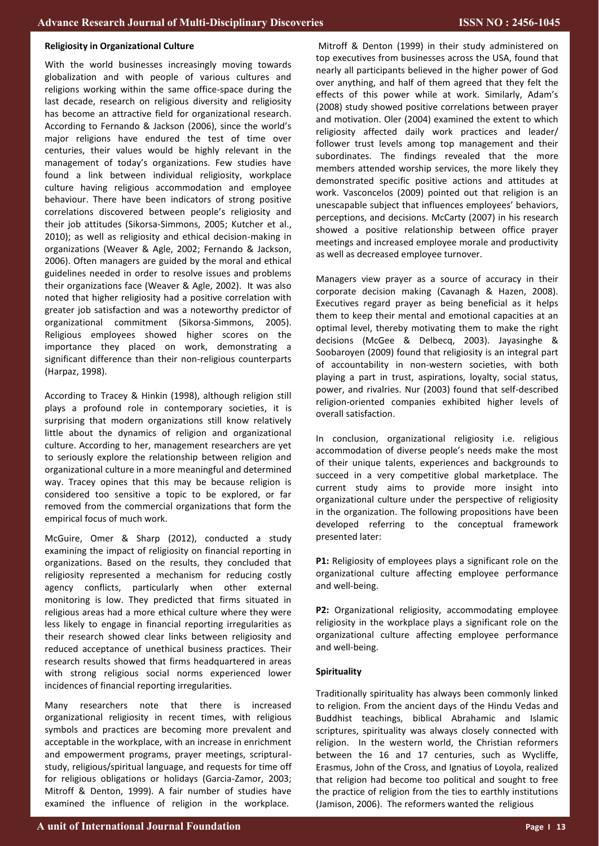#### **Religiosity in Organizational Culture**

With the world businesses increasingly moving towards globalization and with people of various cultures and religions working within the same office-space during the last decade, research on religious diversity and religiosity has become an attractive field for organizational research. According to Fernando & Jackson (2006), since the world's major religions have endured the test of time over centuries, their values would be highly relevant in the management of today's organizations. Few studies have found a link between individual religiosity, workplace culture having religious accommodation and employee behaviour. There have been indicators of strong positive correlations discovered between people's religiosity and their job attitudes (Sikorsa-Simmons, 2005; Kutcher et al., 2010); as well as religiosity and ethical decision-making in organizations (Weaver & Agle, 2002; Fernando & Jackson, 2006). Often managers are guided by the moral and ethical guidelines needed in order to resolve issues and problems their organizations face (Weaver & Agle, 2002). It was also noted that higher religiosity had a positive correlation with greater job satisfaction and was a noteworthy predictor of organizational commitment (Sikorsa-Simmons, 2005). Religious employees showed higher scores on the importance they placed on work, demonstrating a significant difference than their non-religious counterparts (Harpaz, 1998).

According to Tracey & Hinkin (1998), although religion still plays a profound role in contemporary societies, it is surprising that modern organizations still know relatively little about the dynamics of religion and organizational culture. According to her, management researchers are yet to seriously explore the relationship between religion and organizational culture in a more meaningful and determined way. Tracey opines that this may be because religion is considered too sensitive a topic to be explored, or far removed from the commercial organizations that form the empirical focus of much work.

McGuire, Omer & Sharp (2012), conducted a study examining the impact of religiosity on financial reporting in organizations. Based on the results, they concluded that religiosity represented a mechanism for reducing costly agency conflicts, particularly when other external monitoring is low. They predicted that firms situated in religious areas had a more ethical culture where they were less likely to engage in financial reporting irregularities as their research showed clear links between religiosity and reduced acceptance of unethical business practices. Their research results showed that firms headquartered in areas with strong religious social norms experienced lower incidences of financial reporting irregularities.

Many researchers note that there is increased organizational religiosity in recent times, with religious symbols and practices are becoming more prevalent and acceptable in the workplace, with an increase in enrichment and empowerment programs, prayer meetings, scripturalstudy, religious/spiritual language, and requests for time off for religious obligations or holidays (Garcia-Zamor, 2003; Mitroff & Denton, 1999). A fair number of studies have examined the influence of religion in the workplace.

Mitroff & Denton (1999) in their study administered on top executives from businesses across the USA, found that nearly all participants believed in the higher power of God over anything, and half of them agreed that they felt the effects of this power while at work. Similarly, Adam's (2008) study showed positive correlations between prayer and motivation. Oler (2004) examined the extent to which religiosity affected daily work practices and leader/ follower trust levels among top management and their subordinates. The findings revealed that the more members attended worship services, the more likely they demonstrated specific positive actions and attitudes at work. Vasconcelos (2009) pointed out that religion is an unescapable subject that influences employees' behaviors, perceptions, and decisions. McCarty (2007) in his research showed a positive relationship between office prayer meetings and increased employee morale and productivity as well as decreased employee turnover.

Managers view prayer as a source of accuracy in their corporate decision making (Cavanagh & Hazen, 2008). Executives regard prayer as being beneficial as it helps them to keep their mental and emotional capacities at an optimal level, thereby motivating them to make the right decisions (McGee & Delbecq, 2003). Jayasinghe & Soobaroyen (2009) found that religiosity is an integral part of accountability in non-western societies, with both playing a part in trust, aspirations, loyalty, social status, power, and rivalries. Nur (2003) found that self-described religion-oriented companies exhibited higher levels of overall satisfaction.

In conclusion, organizational religiosity i.e. religious accommodation of diverse people's needs make the most of their unique talents, experiences and backgrounds to succeed in a very competitive global marketplace. The current study aims to provide more insight into organizational culture under the perspective of religiosity in the organization. The following propositions have been developed referring to the conceptual framework presented later:

**P1:** Religiosity of employees plays a significant role on the organizational culture affecting employee performance and well-being.

**P2:** Organizational religiosity, accommodating employee religiosity in the workplace plays a significant role on the organizational culture affecting employee performance and well-being.

## **Spirituality**

Traditionally spirituality has always been commonly linked to religion. From the ancient days of the Hindu Vedas and Buddhist teachings, biblical Abrahamic and Islamic scriptures, spirituality was always closely connected with religion. In the western world, the Christian reformers between the 16 and 17 centuries, such as Wycliffe, Erasmus, John of the Cross, and Ignatius of Loyola, realized that religion had become too political and sought to free the practice of religion from the ties to earthly institutions (Jamison, 2006). The reformers wanted the religious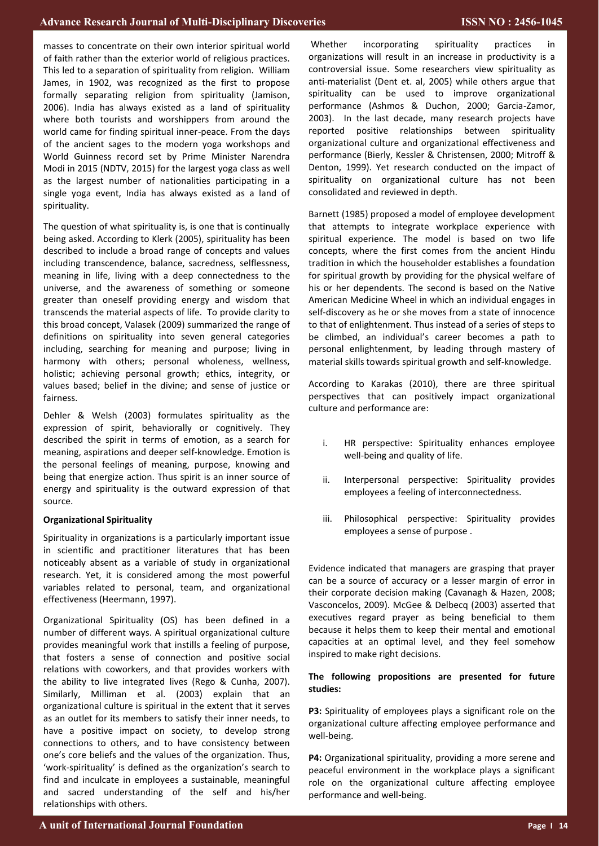masses to concentrate on their own interior spiritual world of faith rather than the exterior world of religious practices. This led to a separation of spirituality from religion. William James, in 1902, was recognized as the first to propose formally separating religion from spirituality (Jamison, 2006). India has always existed as a land of spirituality where both tourists and worshippers from around the world came for finding spiritual inner-peace. From the days of the ancient sages to the modern yoga workshops and World Guinness record set by Prime Minister Narendra Modi in 2015 (NDTV, 2015) for the largest yoga class as well as the largest number of nationalities participating in a single yoga event, India has always existed as a land of spirituality.

The question of what spirituality is, is one that is continually being asked. According to Klerk (2005), spirituality has been described to include a broad range of concepts and values including transcendence, balance, sacredness, selflessness, meaning in life, living with a deep connectedness to the universe, and the awareness of something or someone greater than oneself providing energy and wisdom that transcends the material aspects of life. To provide clarity to this broad concept, Valasek (2009) summarized the range of definitions on spirituality into seven general categories including, searching for meaning and purpose; living in harmony with others; personal wholeness, wellness, holistic; achieving personal growth; ethics, integrity, or values based; belief in the divine; and sense of justice or fairness.

Dehler & Welsh (2003) formulates spirituality as the expression of spirit, behaviorally or cognitively. They described the spirit in terms of emotion, as a search for meaning, aspirations and deeper self-knowledge. Emotion is the personal feelings of meaning, purpose, knowing and being that energize action. Thus spirit is an inner source of energy and spirituality is the outward expression of that source.

## **Organizational Spirituality**

Spirituality in organizations is a particularly important issue in scientific and practitioner literatures that has been noticeably absent as a variable of study in organizational research. Yet, it is considered among the most powerful variables related to personal, team, and organizational effectiveness (Heermann, 1997).

Organizational Spirituality (OS) has been defined in a number of different ways. A spiritual organizational culture provides meaningful work that instills a feeling of purpose, that fosters a sense of connection and positive social relations with coworkers, and that provides workers with the ability to live integrated lives (Rego & Cunha, 2007). Similarly, Milliman et al. (2003) explain that an organizational culture is spiritual in the extent that it serves as an outlet for its members to satisfy their inner needs, to have a positive impact on society, to develop strong connections to others, and to have consistency between one's core beliefs and the values of the organization. Thus, 'work-spirituality' is defined as the organization's search to find and inculcate in employees a sustainable, meaningful and sacred understanding of the self and his/her relationships with others.

Whether incorporating spirituality practices in organizations will result in an increase in productivity is a controversial issue. Some researchers view spirituality as anti-materialist (Dent et. al, 2005) while others argue that spirituality can be used to improve organizational performance (Ashmos & Duchon, 2000; Garcia-Zamor, 2003). In the last decade, many research projects have reported positive relationships between spirituality organizational culture and organizational effectiveness and performance (Bierly, Kessler & Christensen, 2000; Mitroff & Denton, 1999). Yet research conducted on the impact of spirituality on organizational culture has not been consolidated and reviewed in depth.

Barnett (1985) proposed a model of employee development that attempts to integrate workplace experience with spiritual experience. The model is based on two life concepts, where the first comes from the ancient Hindu tradition in which the householder establishes a foundation for spiritual growth by providing for the physical welfare of his or her dependents. The second is based on the Native American Medicine Wheel in which an individual engages in self-discovery as he or she moves from a state of innocence to that of enlightenment. Thus instead of a series of steps to be climbed, an individual's career becomes a path to personal enlightenment, by leading through mastery of material skills towards spiritual growth and self-knowledge.

According to Karakas (2010), there are three spiritual perspectives that can positively impact organizational culture and performance are:

- i. HR perspective: Spirituality enhances employee well-being and quality of life.
- ii. Interpersonal perspective: Spirituality provides employees a feeling of interconnectedness.
- iii. Philosophical perspective: Spirituality provides employees a sense of purpose .

Evidence indicated that managers are grasping that prayer can be a source of accuracy or a lesser margin of error in their corporate decision making (Cavanagh & Hazen, 2008; Vasconcelos, 2009). McGee & Delbecq (2003) asserted that executives regard prayer as being beneficial to them because it helps them to keep their mental and emotional capacities at an optimal level, and they feel somehow inspired to make right decisions.

## **The following propositions are presented for future studies:**

**P3:** Spirituality of employees plays a significant role on the organizational culture affecting employee performance and well-being.

**P4:** Organizational spirituality, providing a more serene and peaceful environment in the workplace plays a significant role on the organizational culture affecting employee performance and well-being.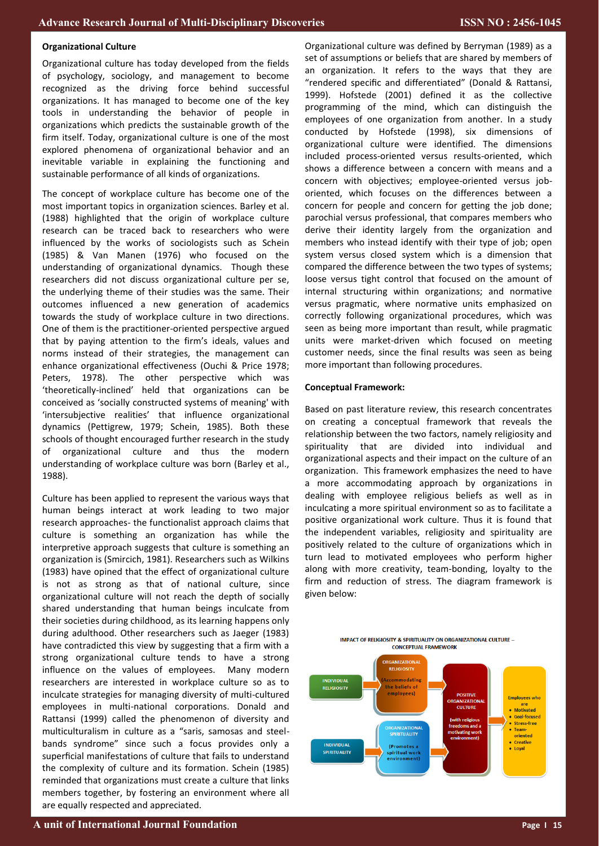#### **Organizational Culture**

Organizational culture has today developed from the fields of psychology, sociology, and management to become recognized as the driving force behind successful organizations. It has managed to become one of the key tools in understanding the behavior of people in organizations which predicts the sustainable growth of the firm itself. Today, organizational culture is one of the most explored phenomena of organizational behavior and an inevitable variable in explaining the functioning and sustainable performance of all kinds of organizations.

The concept of workplace culture has become one of the most important topics in organization sciences. Barley et al. (1988) highlighted that the origin of workplace culture research can be traced back to researchers who were influenced by the works of sociologists such as Schein (1985) & Van Manen (1976) who focused on the understanding of organizational dynamics. Though these researchers did not discuss organizational culture per se, the underlying theme of their studies was the same. Their outcomes influenced a new generation of academics towards the study of workplace culture in two directions. One of them is the practitioner-oriented perspective argued that by paying attention to the firm's ideals, values and norms instead of their strategies, the management can enhance organizational effectiveness (Ouchi & Price 1978; Peters, 1978). The other perspective which was 'theoretically-inclined' held that organizations can be conceived as 'socially constructed systems of meaning' with 'intersubjective realities' that influence organizational dynamics (Pettigrew, 1979; Schein, 1985). Both these schools of thought encouraged further research in the study of organizational culture and thus the modern understanding of workplace culture was born (Barley et al., 1988).

Culture has been applied to represent the various ways that human beings interact at work leading to two major research approaches- the functionalist approach claims that culture is something an organization has while the interpretive approach suggests that culture is something an organization is (Smircich, 1981). Researchers such as Wilkins (1983) have opined that the effect of organizational culture is not as strong as that of national culture, since organizational culture will not reach the depth of socially shared understanding that human beings inculcate from their societies during childhood, as its learning happens only during adulthood. Other researchers such as Jaeger (1983) have contradicted this view by suggesting that a firm with a strong organizational culture tends to have a strong influence on the values of employees. Many modern researchers are interested in workplace culture so as to inculcate strategies for managing diversity of multi-cultured employees in multi-national corporations. Donald and Rattansi (1999) called the phenomenon of diversity and multiculturalism in culture as a "saris, samosas and steelbands syndrome" since such a focus provides only a superficial manifestations of culture that fails to understand the complexity of culture and its formation. Schein (1985) reminded that organizations must create a culture that links members together, by fostering an environment where all are equally respected and appreciated.

Organizational culture was defined by Berryman (1989) as a set of assumptions or beliefs that are shared by members of an organization. It refers to the ways that they are "rendered specific and differentiated" (Donald & Rattansi, 1999). Hofstede (2001) defined it as the collective programming of the mind, which can distinguish the employees of one organization from another. In a study conducted by Hofstede (1998), six dimensions of organizational culture were identified. The dimensions included process-oriented versus results-oriented, which shows a difference between a concern with means and a concern with objectives; employee-oriented versus joboriented, which focuses on the differences between a concern for people and concern for getting the job done; parochial versus professional, that compares members who derive their identity largely from the organization and members who instead identify with their type of job; open system versus closed system which is a dimension that compared the difference between the two types of systems; loose versus tight control that focused on the amount of internal structuring within organizations; and normative versus pragmatic, where normative units emphasized on correctly following organizational procedures, which was seen as being more important than result, while pragmatic units were market-driven which focused on meeting customer needs, since the final results was seen as being more important than following procedures.

#### **Conceptual Framework:**

Based on past literature review, this research concentrates on creating a conceptual framework that reveals the relationship between the two factors, namely religiosity and spirituality that are divided into individual and organizational aspects and their impact on the culture of an organization. This framework emphasizes the need to have a more accommodating approach by organizations in dealing with employee religious beliefs as well as in inculcating a more spiritual environment so as to facilitate a positive organizational work culture. Thus it is found that the independent variables, religiosity and spirituality are positively related to the culture of organizations which in turn lead to motivated employees who perform higher along with more creativity, team-bonding, loyalty to the firm and reduction of stress. The diagram framework is given below:



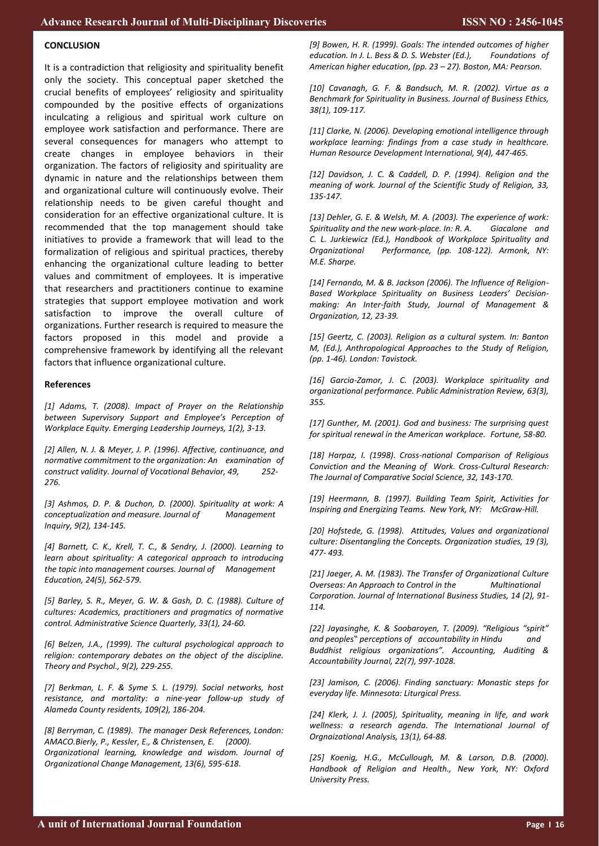# **CONCLUSION**

It is a contradiction that religiosity and spirituality benefit only the society. This conceptual paper sketched the crucial benefits of employees' religiosity and spirituality compounded by the positive effects of organizations inculcating a religious and spiritual work culture on employee work satisfaction and performance. There are several consequences for managers who attempt to create changes in employee behaviors in their organization. The factors of religiosity and spirituality are dynamic in nature and the relationships between them and organizational culture will continuously evolve. Their relationship needs to be given careful thought and consideration for an effective organizational culture. It is recommended that the top management should take initiatives to provide a framework that will lead to the formalization of religious and spiritual practices, thereby enhancing the organizational culture leading to better values and commitment of employees. It is imperative that researchers and practitioners continue to examine strategies that support employee motivation and work satisfaction to improve the overall culture of organizations. Further research is required to measure the factors proposed in this model and provide a comprehensive framework by identifying all the relevant factors that influence organizational culture.

#### **References**

*[1] Adams, T. (2008). Impact of Prayer on the Relationship between Supervisory Support and Employee's Perception of Workplace Equity. Emerging Leadership Journeys, 1(2), 3-13.*

*[2] Allen, N. J. & Meyer, J. P. (1996). Affective, continuance, and normative commitment to the organization: An examination of construct validity. Journal of Vocational Behavior, 49, 252- 276.*

*[3] Ashmos, D. P. & Duchon, D. (2000). Spirituality at work: A conceptualization and measure. Journal of Management Inquiry, 9(2), 134-145.*

*[4] Barnett, C. K., Krell, T. C., & Sendry, J. (2000). Learning to learn about spirituality: A categorical approach to introducing the topic into management courses. Journal of Management Education, 24(5), 562-579.*

*[5] Barley, S. R., Meyer, G. W. & Gash, D. C. (1988). Culture of cultures: Academics, practitioners and pragmatics of normative control. Administrative Science Quarterly, 33(1), 24-60.*

*[6] Belzen, J.A., (1999). The cultural psychological approach to religion: contemporary debates on the object of the discipline. Theory and Psychol., 9(2), 229-255.*

*[7] Berkman, L. F. & Syme S. L. (1979). Social networks, host resistance, and mortality: a nine-year follow-up study of Alameda County residents, 109(2), 186-204.*

*[8] Berryman, C. (1989). The manager Desk References, London: AMACO.Bierly, P., Kessler, E., & Christensen, E. (2000). Organizational learning, knowledge and wisdom. Journal of Organizational Change Management, 13(6), 595-618.*

*[9] Bowen, H. R. (1999). Goals: The intended outcomes of higher education. In J. L. Bess & D. S. Webster (Ed.), Foundations of American higher education, (pp. 23 – 27). Boston, MA: Pearson.*

*[10] Cavanagh, G. F. & Bandsuch, M. R. (2002). Virtue as a Benchmark for Spirituality in Business. Journal of Business Ethics, 38(1), 109-117.* 

*[11] Clarke, N. (2006). Developing emotional intelligence through workplace learning: findings from a case study in healthcare. Human Resource Development International, 9(4), 447-465.*

*[12] Davidson, J. C. & Caddell, D. P. (1994). Religion and the meaning of work. Journal of the Scientific Study of Religion, 33, 135-147.*

*[13] Dehler, G. E. & Welsh, M. A. (2003). The experience of work: Spirituality and the new work-place. In: R. A. Giacalone and C. L. Jurkiewicz (Ed.), Handbook of Workplace Spirituality and Organizational Performance, (pp. 108-122). Armonk, NY: M.E. Sharpe.*

*[14] Fernando, M. & B. Jackson (2006). The Influence of Religion-Based Workplace Spirituality on Business Leaders' Decisionmaking: An Inter-faith Study, Journal of Management & Organization, 12, 23-39.*

*[15] Geertz, C. (2003). Religion as a cultural system. In: Banton M, (Ed.), Anthropological Approaches to the Study of Religion, (pp. 1-46). London: Tavistock.*

*[16] Garcia-Zamor, J. C. (2003). Workplace spirituality and organizational performance. Public Administration Review, 63(3), 355.*

*[17] Gunther, M. (2001). God and business: The surprising quest for spiritual renewal in the American workplace. Fortune, 58-80.*

*[18] Harpaz, I. (1998). Cross-national Comparison of Religious Conviction and the Meaning of Work. Cross-Cultural Research: The Journal of Comparative Social Science, 32, 143-170.*

*[19] Heermann, B. (1997). Building Team Spirit, Activities for Inspiring and Energizing Teams. New York, NY: McGraw-Hill.*

*[20] Hofstede, G. (1998). Attitudes, Values and organizational culture: Disentangling the Concepts. Organization studies, 19 (3), 477- 493.*

*[21] Jaeger, A. M. (1983). The Transfer of Organizational Culture Overseas: An Approach to Control in the Multinational Corporation. Journal of International Business Studies, 14 (2), 91- 114.*

*[22] Jayasinghe, K. & Soobaroyen, T. (2009). "Religious "spirit" and peoples" perceptions of accountability in Hindu and Buddhist religious organizations". Accounting, Auditing & Accountability Journal, 22(7), 997-1028.*

*[23] Jamison, C. (2006). Finding sanctuary: Monastic steps for everyday life. Minnesota: Liturgical Press.*

*[24] Klerk, J. J. (2005), Spirituality, meaning in life, and work wellness: a research agenda. The International Journal of Orgnaizational Analysis, 13(1), 64-88.*

*[25] Koenig, H.G., McCullough, M. & Larson, D.B. (2000). Handbook of Religion and Health., New York, NY: Oxford University Press.*